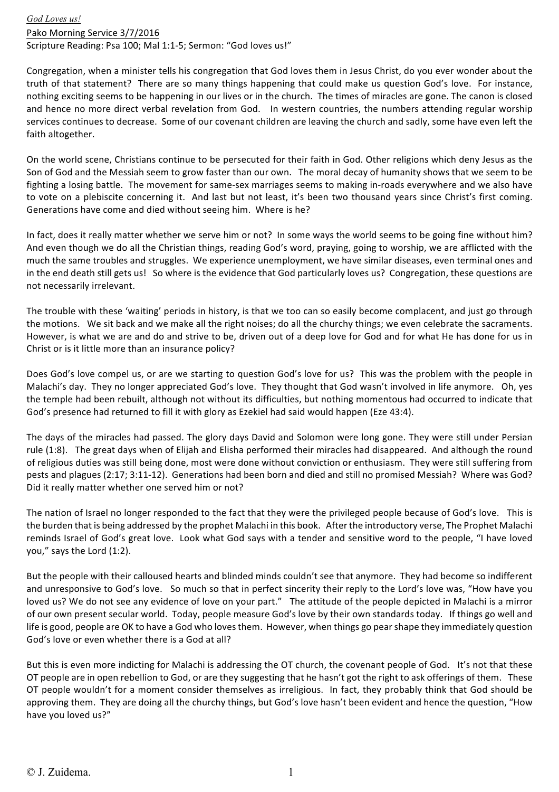*God Loves us!* Pako Morning Service 3/7/2016 Scripture Reading: Psa 100; Mal 1:1-5; Sermon: "God loves us!"

Congregation, when a minister tells his congregation that God loves them in Jesus Christ, do you ever wonder about the truth of that statement? There are so many things happening that could make us question God's love. For instance, nothing exciting seems to be happening in our lives or in the church. The times of miracles are gone. The canon is closed and hence no more direct verbal revelation from God. In western countries, the numbers attending regular worship services continues to decrease. Some of our covenant children are leaving the church and sadly, some have even left the faith altogether.

On the world scene, Christians continue to be persecuted for their faith in God. Other religions which deny Jesus as the Son of God and the Messiah seem to grow faster than our own. The moral decay of humanity shows that we seem to be fighting a losing battle. The movement for same-sex marriages seems to making in-roads everywhere and we also have to vote on a plebiscite concerning it. And last but not least, it's been two thousand years since Christ's first coming. Generations have come and died without seeing him. Where is he?

In fact, does it really matter whether we serve him or not? In some ways the world seems to be going fine without him? And even though we do all the Christian things, reading God's word, praying, going to worship, we are afflicted with the much the same troubles and struggles. We experience unemployment, we have similar diseases, even terminal ones and in the end death still gets us! So where is the evidence that God particularly loves us? Congregation, these questions are not necessarily irrelevant.

The trouble with these 'waiting' periods in history, is that we too can so easily become complacent, and just go through the motions. We sit back and we make all the right noises; do all the churchy things; we even celebrate the sacraments. However, is what we are and do and strive to be, driven out of a deep love for God and for what He has done for us in Christ or is it little more than an insurance policy?

Does God's love compel us, or are we starting to question God's love for us? This was the problem with the people in Malachi's day. They no longer appreciated God's love. They thought that God wasn't involved in life anymore. Oh, yes the temple had been rebuilt, although not without its difficulties, but nothing momentous had occurred to indicate that God's presence had returned to fill it with glory as Ezekiel had said would happen (Eze 43:4).

The days of the miracles had passed. The glory days David and Solomon were long gone. They were still under Persian rule (1:8). The great days when of Elijah and Elisha performed their miracles had disappeared. And although the round of religious duties was still being done, most were done without conviction or enthusiasm. They were still suffering from pests and plagues (2:17; 3:11-12). Generations had been born and died and still no promised Messiah? Where was God? Did it really matter whether one served him or not?

The nation of Israel no longer responded to the fact that they were the privileged people because of God's love. This is the burden that is being addressed by the prophet Malachi in this book. After the introductory verse, The Prophet Malachi reminds Israel of God's great love. Look what God says with a tender and sensitive word to the people, "I have loved you," says the Lord (1:2).

But the people with their calloused hearts and blinded minds couldn't see that anymore. They had become so indifferent and unresponsive to God's love. So much so that in perfect sincerity their reply to the Lord's love was, "How have you loved us? We do not see any evidence of love on your part." The attitude of the people depicted in Malachi is a mirror of our own present secular world. Today, people measure God's love by their own standards today. If things go well and life is good, people are OK to have a God who loves them. However, when things go pear shape they immediately question God's love or even whether there is a God at all?

But this is even more indicting for Malachi is addressing the OT church, the covenant people of God. It's not that these OT people are in open rebellion to God, or are they suggesting that he hasn't got the right to ask offerings of them. These OT people wouldn't for a moment consider themselves as irreligious. In fact, they probably think that God should be approving them. They are doing all the churchy things, but God's love hasn't been evident and hence the question, "How have you loved us?"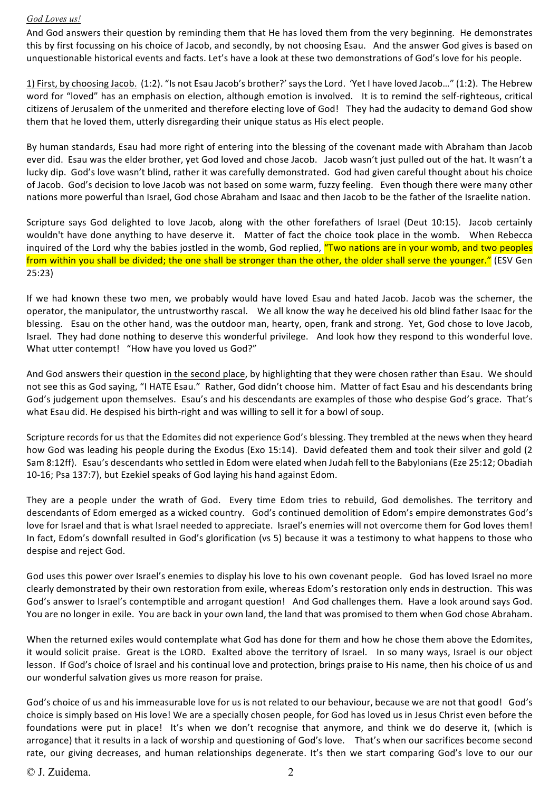## *God Loves us!*

And God answers their question by reminding them that He has loved them from the very beginning. He demonstrates this by first focussing on his choice of Jacob, and secondly, by not choosing Esau. And the answer God gives is based on unquestionable historical events and facts. Let's have a look at these two demonstrations of God's love for his people.

1) First, by choosing Jacob. (1:2). "Is not Esau Jacob's brother?' says the Lord. 'Yet I have loved Jacob..." (1:2). The Hebrew word for "loved" has an emphasis on election, although emotion is involved. It is to remind the self-righteous, critical citizens of Jerusalem of the unmerited and therefore electing love of God! They had the audacity to demand God show them that he loved them, utterly disregarding their unique status as His elect people.

By human standards, Esau had more right of entering into the blessing of the covenant made with Abraham than Jacob ever did. Esau was the elder brother, yet God loved and chose Jacob. Jacob wasn't just pulled out of the hat. It wasn't a lucky dip. God's love wasn't blind, rather it was carefully demonstrated. God had given careful thought about his choice of Jacob. God's decision to love Jacob was not based on some warm, fuzzy feeling. Even though there were many other nations more powerful than Israel, God chose Abraham and Isaac and then Jacob to be the father of the Israelite nation.

Scripture says God delighted to love Jacob, along with the other forefathers of Israel (Deut 10:15). Jacob certainly wouldn't have done anything to have deserve it. Matter of fact the choice took place in the womb. When Rebecca inquired of the Lord why the babies jostled in the womb, God replied, "Two nations are in your womb, and two peoples from within you shall be divided; the one shall be stronger than the other, the older shall serve the younger." (ESV Gen 25:23)

If we had known these two men, we probably would have loved Esau and hated Jacob. Jacob was the schemer, the operator, the manipulator, the untrustworthy rascal. We all know the way he deceived his old blind father Isaac for the blessing. Esau on the other hand, was the outdoor man, hearty, open, frank and strong. Yet, God chose to love Jacob, Israel. They had done nothing to deserve this wonderful privilege. And look how they respond to this wonderful love. What utter contempt! "How have you loved us God?"

And God answers their question in the second place, by highlighting that they were chosen rather than Esau. We should not see this as God saying, "I HATE Esau." Rather, God didn't choose him. Matter of fact Esau and his descendants bring God's judgement upon themselves. Esau's and his descendants are examples of those who despise God's grace. That's what Esau did. He despised his birth-right and was willing to sell it for a bowl of soup.

Scripture records for us that the Edomites did not experience God's blessing. They trembled at the news when they heard how God was leading his people during the Exodus (Exo 15:14). David defeated them and took their silver and gold (2 Sam 8:12ff). Esau's descendants who settled in Edom were elated when Judah fell to the Babylonians (Eze 25:12; Obadiah 10-16; Psa 137:7), but Ezekiel speaks of God laying his hand against Edom.

They are a people under the wrath of God. Every time Edom tries to rebuild, God demolishes. The territory and descendants of Edom emerged as a wicked country. God's continued demolition of Edom's empire demonstrates God's love for Israel and that is what Israel needed to appreciate. Israel's enemies will not overcome them for God loves them! In fact, Edom's downfall resulted in God's glorification (vs 5) because it was a testimony to what happens to those who despise and reject God.

God uses this power over Israel's enemies to display his love to his own covenant people. God has loved Israel no more clearly demonstrated by their own restoration from exile, whereas Edom's restoration only ends in destruction. This was God's answer to Israel's contemptible and arrogant question! And God challenges them. Have a look around says God. You are no longer in exile. You are back in your own land, the land that was promised to them when God chose Abraham.

When the returned exiles would contemplate what God has done for them and how he chose them above the Edomites, it would solicit praise. Great is the LORD. Exalted above the territory of Israel. In so many ways, Israel is our object lesson. If God's choice of Israel and his continual love and protection, brings praise to His name, then his choice of us and our wonderful salvation gives us more reason for praise.

God's choice of us and his immeasurable love for us is not related to our behaviour, because we are not that good! God's choice is simply based on His love! We are a specially chosen people, for God has loved us in Jesus Christ even before the foundations were put in place! It's when we don't recognise that anymore, and think we do deserve it, (which is arrogance) that it results in a lack of worship and questioning of God's love. That's when our sacrifices become second rate, our giving decreases, and human relationships degenerate. It's then we start comparing God's love to our our